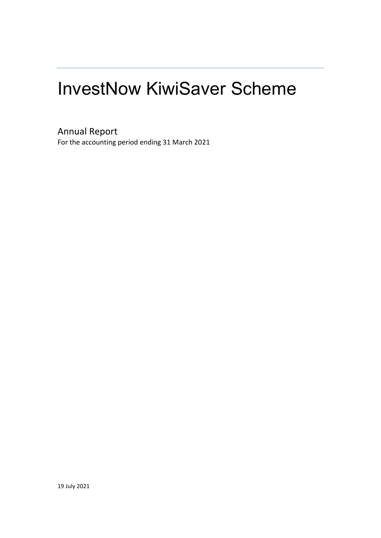# InvestNow KiwiSaver Scheme

Annual Report

For the accounting period ending 31 March 2021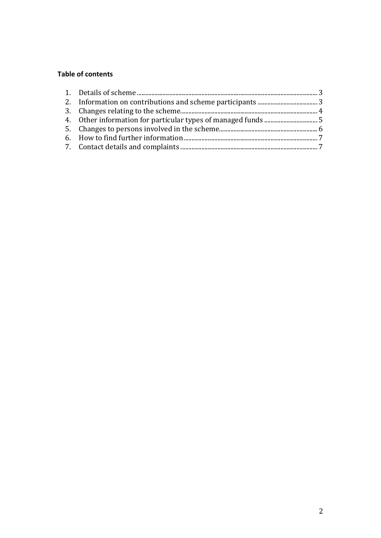## **Table of contents**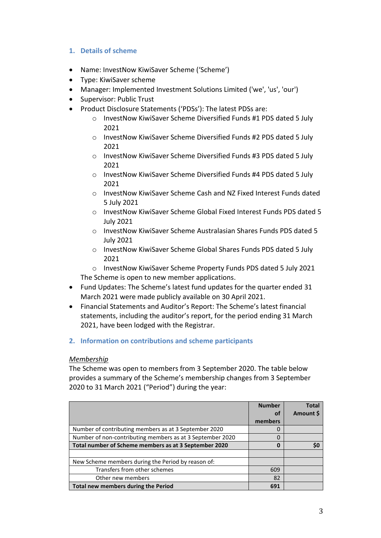## **1. Details of scheme**

- Name: InvestNow KiwiSaver Scheme ('Scheme')
- Type: KiwiSaver scheme
- Manager: Implemented Investment Solutions Limited ('we', 'us', 'our')
- Supervisor: Public Trust
- Product Disclosure Statements ('PDSs'): The latest PDSs are:
	- o InvestNow KiwiSaver Scheme Diversified Funds #1 PDS dated 5 July 2021
	- o InvestNow KiwiSaver Scheme Diversified Funds #2 PDS dated 5 July 2021
	- o InvestNow KiwiSaver Scheme Diversified Funds #3 PDS dated 5 July 2021
	- o InvestNow KiwiSaver Scheme Diversified Funds #4 PDS dated 5 July 2021
	- o InvestNow KiwiSaver Scheme Cash and NZ Fixed Interest Funds dated 5 July 2021
	- o InvestNow KiwiSaver Scheme Global Fixed Interest Funds PDS dated 5 July 2021
	- o InvestNow KiwiSaver Scheme Australasian Shares Funds PDS dated 5 July 2021
	- o InvestNow KiwiSaver Scheme Global Shares Funds PDS dated 5 July 2021

o InvestNow KiwiSaver Scheme Property Funds PDS dated 5 July 2021 The Scheme is open to new member applications.

- Fund Updates: The Scheme's latest fund updates for the quarter ended 31 March 2021 were made publicly available on 30 April 2021.
- Financial Statements and Auditor's Report: The Scheme's latest financial statements, including the auditor's report, for the period ending 31 March 2021, have been lodged with the Registrar.
- **2. Information on contributions and scheme participants**

## *Membership*

The Scheme was open to members from 3 September 2020. The table below provides a summary of the Scheme's membership changes from 3 September 2020 to 31 March 2021 ("Period") during the year:

|                                                           | <b>Number</b><br>οf | <b>Total</b><br>Amount \$ |
|-----------------------------------------------------------|---------------------|---------------------------|
|                                                           | members             |                           |
| Number of contributing members as at 3 September 2020     |                     |                           |
| Number of non-contributing members as at 3 September 2020 |                     |                           |
| Total number of Scheme members as at 3 September 2020     | Ω                   | \$0                       |
|                                                           |                     |                           |
| New Scheme members during the Period by reason of:        |                     |                           |
| Transfers from other schemes                              | 609                 |                           |
| Other new members                                         | 82                  |                           |
| Total new members during the Period                       | 691                 |                           |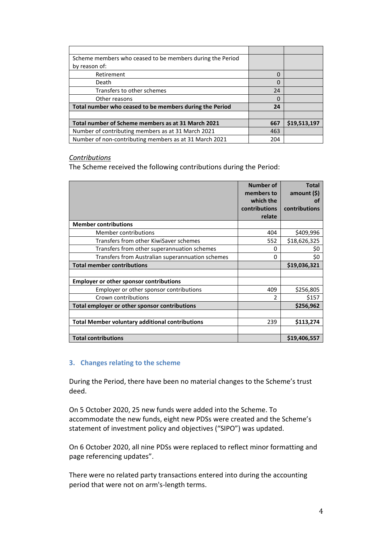| Scheme members who ceased to be members during the Period |     |              |
|-----------------------------------------------------------|-----|--------------|
| by reason of:                                             |     |              |
| Retirement                                                | 0   |              |
| Death                                                     | 0   |              |
| Transfers to other schemes                                | 24  |              |
| Other reasons                                             | 0   |              |
| Total number who ceased to be members during the Period   | 24  |              |
|                                                           |     |              |
| Total number of Scheme members as at 31 March 2021        | 667 | \$19,513,197 |
| Number of contributing members as at 31 March 2021        | 463 |              |
| Number of non-contributing members as at 31 March 2021    | 204 |              |

#### *Contributions*

The Scheme received the following contributions during the Period:

|                                                        | Number of<br>members to<br>which the | <b>Total</b><br>amount $($ \$)<br>Ωt |
|--------------------------------------------------------|--------------------------------------|--------------------------------------|
|                                                        | contributions<br>relate              | contributions                        |
| <b>Member contributions</b>                            |                                      |                                      |
| Member contributions                                   | 404                                  | \$409,996                            |
| Transfers from other KiwiSaver schemes                 | 552                                  | \$18,626,325                         |
| Transfers from other superannuation schemes            | 0                                    | \$0                                  |
| Transfers from Australian superannuation schemes       | 0                                    | \$0                                  |
| <b>Total member contributions</b>                      |                                      | \$19,036,321                         |
|                                                        |                                      |                                      |
| <b>Employer or other sponsor contributions</b>         |                                      |                                      |
| Employer or other sponsor contributions                | 409                                  | \$256,805                            |
| Crown contributions                                    | $\mathfrak{p}$                       | \$157                                |
| Total employer or other sponsor contributions          |                                      | \$256,962                            |
|                                                        |                                      |                                      |
| <b>Total Member voluntary additional contributions</b> | 239                                  | \$113,274                            |
|                                                        |                                      |                                      |
| <b>Total contributions</b>                             |                                      | \$19,406,557                         |

## **3. Changes relating to the scheme**

During the Period, there have been no material changes to the Scheme's trust deed.

On 5 October 2020, 25 new funds were added into the Scheme. To accommodate the new funds, eight new PDSs were created and the Scheme's statement of investment policy and objectives ("SIPO") was updated.

On 6 October 2020, all nine PDSs were replaced to reflect minor formatting and page referencing updates".

There were no related party transactions entered into during the accounting period that were not on arm's-length terms.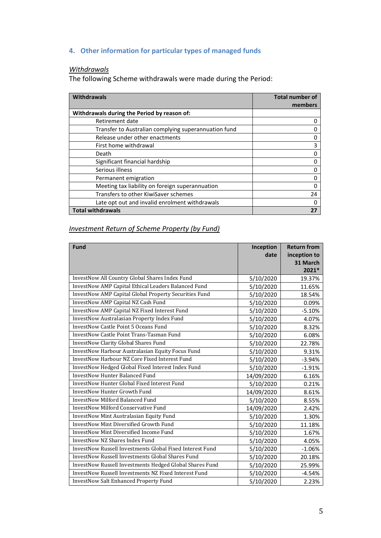# **4. Other information for particular types of managed funds**

# *Withdrawals*

The following Scheme withdrawals were made during the Period:

| <b>Withdrawals</b>                                   | <b>Total number of</b><br>members |
|------------------------------------------------------|-----------------------------------|
| Withdrawals during the Period by reason of:          |                                   |
| Retirement date                                      |                                   |
| Transfer to Australian complying superannuation fund |                                   |
| Release under other enactments                       |                                   |
| First home withdrawal                                | 3                                 |
| Death                                                |                                   |
| Significant financial hardship                       |                                   |
| Serious illness                                      |                                   |
| Permanent emigration                                 |                                   |
| Meeting tax liability on foreign superannuation      |                                   |
| Transfers to other KiwiSaver schemes                 | 24                                |
| Late opt out and invalid enrolment withdrawals       |                                   |
| <b>Total withdrawals</b>                             |                                   |

## *Investment Return of Scheme Property (by Fund)*

| <b>Fund</b>                                              | Inception  | <b>Return from</b> |
|----------------------------------------------------------|------------|--------------------|
|                                                          | date       | inception to       |
|                                                          |            | 31 March           |
|                                                          |            | 2021*              |
| InvestNow All Country Global Shares Index Fund           | 5/10/2020  | 19.37%             |
| InvestNow AMP Capital Ethical Leaders Balanced Fund      | 5/10/2020  | 11.65%             |
| InvestNow AMP Capital Global Property Securities Fund    | 5/10/2020  | 18.54%             |
| InvestNow AMP Capital NZ Cash Fund                       | 5/10/2020  | 0.09%              |
| InvestNow AMP Capital NZ Fixed Interest Fund             | 5/10/2020  | $-5.10%$           |
| InvestNow Australasian Property Index Fund               | 5/10/2020  | 4.07%              |
| <b>InvestNow Castle Point 5 Oceans Fund</b>              | 5/10/2020  | 8.32%              |
| <b>InvestNow Castle Point Trans-Tasman Fund</b>          | 5/10/2020  | 6.08%              |
| <b>InvestNow Clarity Global Shares Fund</b>              | 5/10/2020  | 22.78%             |
| InvestNow Harbour Australasian Equity Focus Fund         | 5/10/2020  | 9.31%              |
| <b>InvestNow Harbour NZ Core Fixed Interest Fund</b>     | 5/10/2020  | $-3.94%$           |
| InvestNow Hedged Global Fixed Interest Index Fund        | 5/10/2020  | $-1.91%$           |
| <b>InvestNow Hunter Balanced Fund</b>                    | 14/09/2020 | 6.16%              |
| InvestNow Hunter Global Fixed Interest Fund              | 5/10/2020  | 0.21%              |
| <b>InvestNow Hunter Growth Fund</b>                      | 14/09/2020 | 8.61%              |
| <b>InvestNow Milford Balanced Fund</b>                   | 5/10/2020  | 8.55%              |
| <b>InvestNow Milford Conservative Fund</b>               | 14/09/2020 | 2.42%              |
| InvestNow Mint Australasian Equity Fund                  | 5/10/2020  | 1.30%              |
| InvestNow Mint Diversified Growth Fund                   | 5/10/2020  | 11.18%             |
| InvestNow Mint Diversified Income Fund                   | 5/10/2020  | 1.67%              |
| <b>InvestNow NZ Shares Index Fund</b>                    | 5/10/2020  | 4.05%              |
| InvestNow Russell Investments Global Fixed Interest Fund | 5/10/2020  | $-1.06%$           |
| <b>InvestNow Russell Investments Global Shares Fund</b>  | 5/10/2020  | 20.18%             |
| InvestNow Russell Investments Hedged Global Shares Fund  | 5/10/2020  | 25.99%             |
| InvestNow Russell Investments NZ Fixed Interest Fund     | 5/10/2020  | $-4.54%$           |
| <b>InvestNow Salt Enhanced Property Fund</b>             | 5/10/2020  | 2.23%              |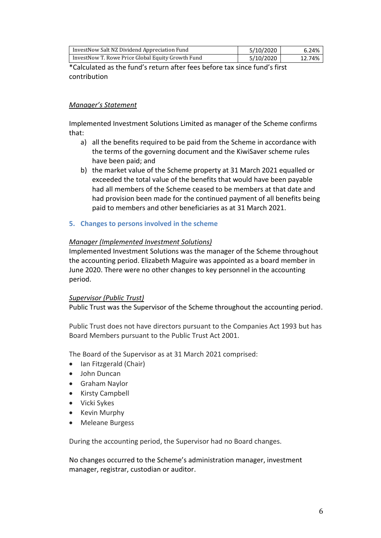| InvestNow Salt NZ Dividend Appreciation Fund      | 5/10/2020 | 6.24%  |
|---------------------------------------------------|-----------|--------|
| InvestNow T. Rowe Price Global Equity Growth Fund | 5/10/2020 | 12.74% |

\*Calculated as the fund's return after fees before tax since fund's first contribution

## *Manager's Statement*

Implemented Investment Solutions Limited as manager of the Scheme confirms that:

- a) all the benefits required to be paid from the Scheme in accordance with the terms of the governing document and the KiwiSaver scheme rules have been paid; and
- b) the market value of the Scheme property at 31 March 2021 equalled or exceeded the total value of the benefits that would have been payable had all members of the Scheme ceased to be members at that date and had provision been made for the continued payment of all benefits being paid to members and other beneficiaries as at 31 March 2021.
- **5. Changes to persons involved in the scheme**

## *Manager (Implemented Investment Solutions)*

Implemented Investment Solutions was the manager of the Scheme throughout the accounting period. Elizabeth Maguire was appointed as a board member in June 2020. There were no other changes to key personnel in the accounting period.

## *Supervisor (Public Trust)*

Public Trust was the Supervisor of the Scheme throughout the accounting period.

Public Trust does not have directors pursuant to the Companies Act 1993 but has Board Members pursuant to the Public Trust Act 2001.

The Board of the Supervisor as at 31 March 2021 comprised:

- Ian Fitzgerald (Chair)
- John Duncan
- Graham Naylor
- Kirsty Campbell
- Vicki Sykes
- Kevin Murphy
- Meleane Burgess

During the accounting period, the Supervisor had no Board changes.

No changes occurred to the Scheme's administration manager, investment manager, registrar, custodian or auditor.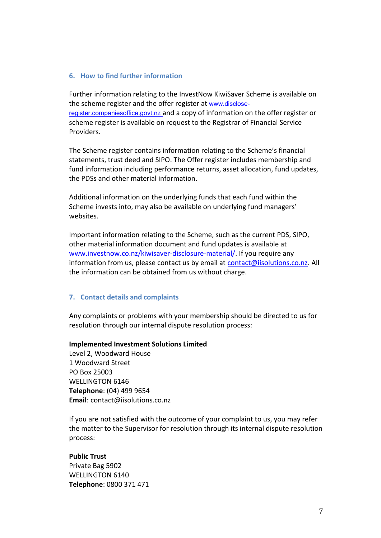#### **6. How to find further information**

Further information relating to the InvestNow KiwiSaver Scheme is available on the scheme register and the offer register at [www.disclose](http://www.disclose-register.companiesoffice.govt.nz/)[register.companiesoffice.govt.nz](http://www.disclose-register.companiesoffice.govt.nz/) and a copy of information on the offer register or scheme register is available on request to the Registrar of Financial Service Providers.

The Scheme register contains information relating to the Scheme's financial statements, trust deed and SIPO. The Offer register includes membership and fund information including performance returns, asset allocation, fund updates, the PDSs and other material information.

Additional information on the underlying funds that each fund within the Scheme invests into, may also be available on underlying fund managers' websites.

Important information relating to the Scheme, such as the current PDS, SIPO, other material information document and fund updates is available at [www.investnow.co.nz/kiwisaver-disclosure-material/.](http://www.investnow.co.nz/kiwisaver-disclosure-material/) If you require any information from us, please contact us by email at [contact@iisolutions.co.nz.](mailto:contact@iisolutions.co.nz) All the information can be obtained from us without charge.

## **7. Contact details and complaints**

Any complaints or problems with your membership should be directed to us for resolution through our internal dispute resolution process:

#### **Implemented Investment Solutions Limited**

Level 2, Woodward House 1 Woodward Street PO Box 25003 WELLINGTON 6146 **Telephone**: (04) 499 9654 **Email**: contact@iisolutions.co.nz

If you are not satisfied with the outcome of your complaint to us, you may refer the matter to the Supervisor for resolution through its internal dispute resolution process:

#### **Public Trust**

Private Bag 5902 WELLINGTON 6140 **Telephone**: 0800 371 471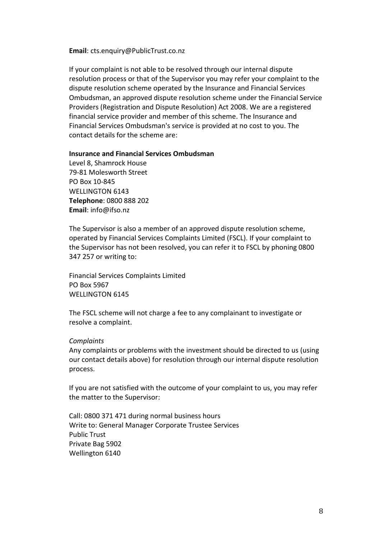**Email**: cts.enquiry@PublicTrust.co.nz

If your complaint is not able to be resolved through our internal dispute resolution process or that of the Supervisor you may refer your complaint to the dispute resolution scheme operated by the Insurance and Financial Services Ombudsman, an approved dispute resolution scheme under the Financial Service Providers (Registration and Dispute Resolution) Act 2008. We are a registered financial service provider and member of this scheme. The Insurance and Financial Services Ombudsman's service is provided at no cost to you. The contact details for the scheme are:

**Insurance and Financial Services Ombudsman**

Level 8, Shamrock House 79-81 Molesworth Street PO Box 10-845 WELLINGTON 6143 **Telephone**: 0800 888 202 **Email**: info@ifso.nz

The Supervisor is also a member of an approved dispute resolution scheme, operated by Financial Services Complaints Limited (FSCL). If your complaint to the Supervisor has not been resolved, you can refer it to FSCL by phoning 0800 347 257 or writing to:

Financial Services Complaints Limited PO Box 5967 WELLINGTON 6145

The FSCL scheme will not charge a fee to any complainant to investigate or resolve a complaint.

#### *Complaints*

Any complaints or problems with the investment should be directed to us (using our contact details above) for resolution through our internal dispute resolution process.

If you are not satisfied with the outcome of your complaint to us, you may refer the matter to the Supervisor:

Call: 0800 371 471 during normal business hours Write to: General Manager Corporate Trustee Services Public Trust Private Bag 5902 Wellington 6140